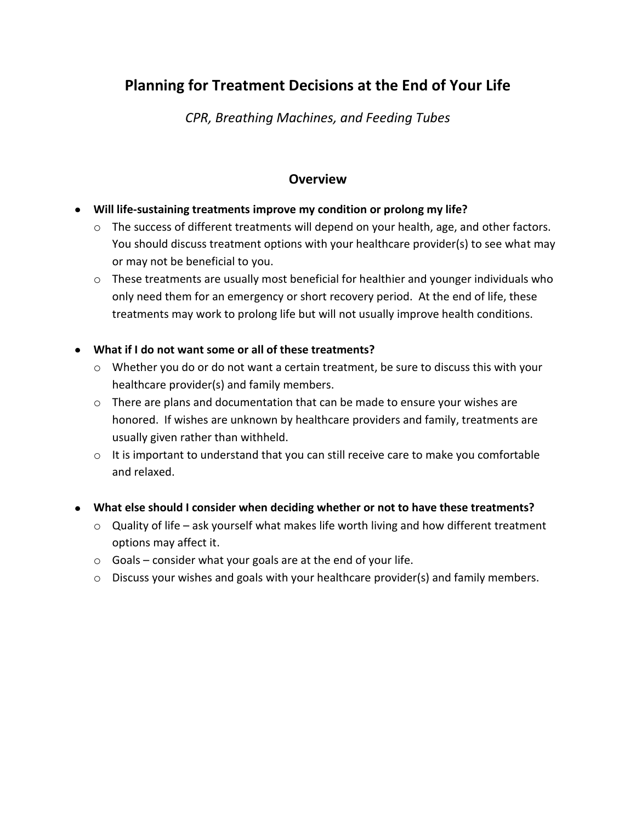# **Planning for Treatment Decisions at the End of Your Life**

*CPR, Breathing Machines, and Feeding Tubes*

## **Overview**

- **Will life-sustaining treatments improve my condition or prolong my life?**
	- o The success of different treatments will depend on your health, age, and other factors. You should discuss treatment options with your healthcare provider(s) to see what may or may not be beneficial to you.
	- o These treatments are usually most beneficial for healthier and younger individuals who only need them for an emergency or short recovery period. At the end of life, these treatments may work to prolong life but will not usually improve health conditions.

### **What if I do not want some or all of these treatments?**

- o Whether you do or do not want a certain treatment, be sure to discuss this with your healthcare provider(s) and family members.
- $\circ$  There are plans and documentation that can be made to ensure your wishes are honored. If wishes are unknown by healthcare providers and family, treatments are usually given rather than withheld.
- $\circ$  It is important to understand that you can still receive care to make you comfortable and relaxed.
- **What else should I consider when deciding whether or not to have these treatments?**
	- o Quality of life ask yourself what makes life worth living and how different treatment options may affect it.
	- $\circ$  Goals consider what your goals are at the end of your life.
	- $\circ$  Discuss your wishes and goals with your healthcare provider(s) and family members.